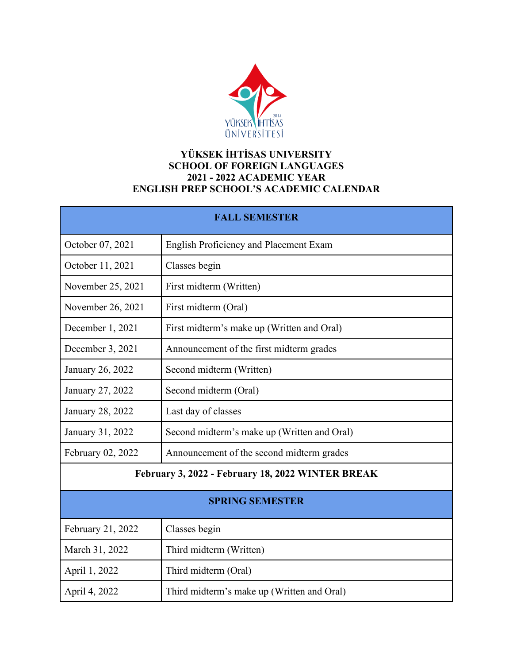

## **YÜKSEK İHTİSAS UNIVERSITY SCHOOL OF FOREIGN LANGUAGES 2021 - 2022 ACADEMIC YEAR ENGLISH PREP SCHOOL'S ACADEMIC CALENDAR**

| <b>FALL SEMESTER</b>                              |                                             |  |
|---------------------------------------------------|---------------------------------------------|--|
| October 07, 2021                                  | English Proficiency and Placement Exam      |  |
| October 11, 2021                                  | Classes begin                               |  |
| November 25, 2021                                 | First midterm (Written)                     |  |
| November 26, 2021                                 | First midterm (Oral)                        |  |
| December 1, 2021                                  | First midterm's make up (Written and Oral)  |  |
| December 3, 2021                                  | Announcement of the first midterm grades    |  |
| January 26, 2022                                  | Second midterm (Written)                    |  |
| January 27, 2022                                  | Second midterm (Oral)                       |  |
| January 28, 2022                                  | Last day of classes                         |  |
| January 31, 2022                                  | Second midterm's make up (Written and Oral) |  |
| February 02, 2022                                 | Announcement of the second midterm grades   |  |
| February 3, 2022 - February 18, 2022 WINTER BREAK |                                             |  |
| <b>SPRING SEMESTER</b>                            |                                             |  |
| February 21, 2022                                 | Classes begin                               |  |
| March 31, 2022                                    | Third midterm (Written)                     |  |
| April 1, 2022                                     | Third midterm (Oral)                        |  |
| April 4, 2022                                     | Third midterm's make up (Written and Oral)  |  |